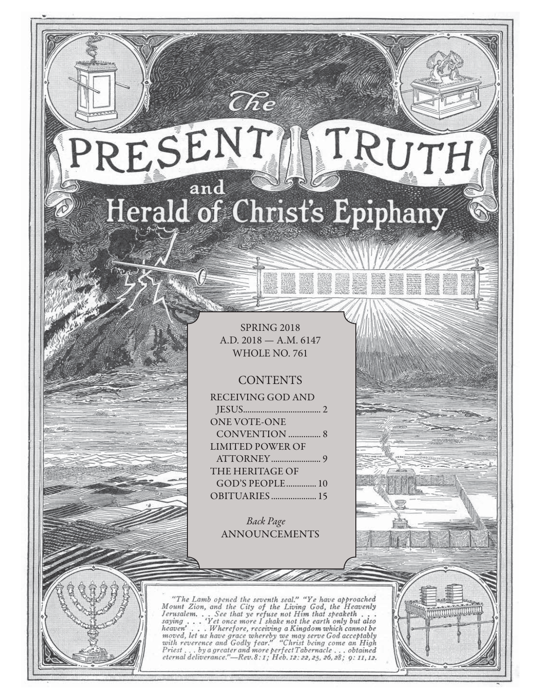# TRUTH RESENT and Herald of Christ's Epiphany

 $\widehat{C}\hspace{-0.6mm}\mathit{\widehat{R}} e$ 

SPRING 2018 A.D. 2018 — A.M. 6147 WHOLE NO. 761

## **CONTENTS**

| <b>RECEIVING GOD AND</b> |
|--------------------------|
|                          |
| <b>ONE VOTE-ONE</b>      |
|                          |
| <b>LIMITED POWER OF</b>  |
|                          |
| THE HERITAGE OF          |
| GOD'S PEOPLE 10          |
| OBITUARIES 15            |

Back Page ANNOUNCEMENTS

"The Lamb opened the seventh seal." "Ye have approached Mount Zion, and the City of the Living God, the Heavenly Jerusalem... See that ye refuse not Him that speaketh...<br>saying... 'Yet once more I shake not the earth only saying  $\ldots$ heaven'...Wherefore, receiving a Kingdom which cannot be<br>moved, let us have grace whereby we may serve God acceptably<br>with reverence and Godly fear." "Christ being come an High<br>Priest...by a greater and more perfect Tabern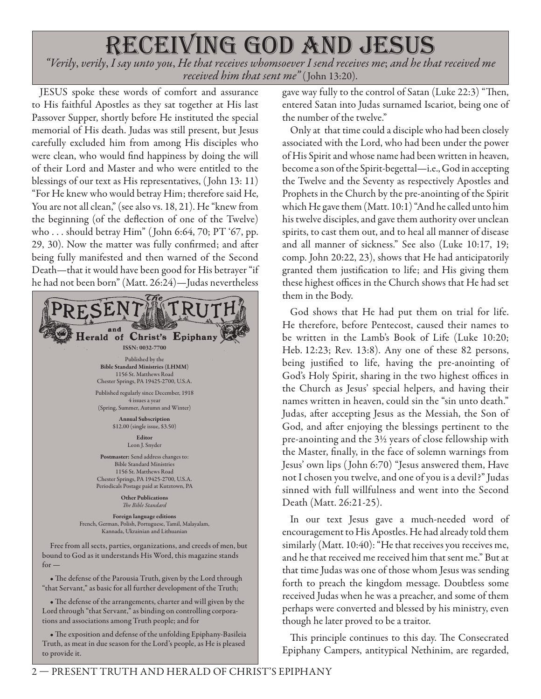# receiving god and jesus

"Verily, verily, I say unto you, He that receives whomsoever I send receives me; and he that received me received him that sent me" (John 13:20).

JESUS spoke these words of comfort and assurance to His faithful Apostles as they sat together at His last Passover Supper, shortly before He instituted the special memorial of His death. Judas was still present, but Jesus carefully excluded him from among His disciples who were clean, who would find happiness by doing the will of their Lord and Master and who were entitled to the blessings of our text as His representatives, ( John 13: 11) "For He knew who would betray Him; therefore said He, You are not all clean," (see also vs. 18, 21). He "knew from the beginning (of the deflection of one of the Twelve) who . . . should betray Him" ( John 6:64, 70; PT '67, pp. 29, 30). Now the matter was fully confirmed; and after being fully manifested and then warned of the Second Death—that it would have been good for His betrayer "if he had not been born" (Matt. 26:24)—Judas nevertheless



• The defense of the Parousia Truth, given by the Lord through "that Servant," as basic for all further development of the Truth;

• The defense of the arrangements, charter and will given by the Lord through "that Servant," as binding on controlling corporations and associations among Truth people; and for

• The exposition and defense of the unfolding Epiphany-Basileia Truth, as meat in due season for the Lord's people, as He is pleased to provide it.

gave way fully to the control of Satan (Luke 22:3) "Then, entered Satan into Judas surnamed Iscariot, being one of the number of the twelve."

Only at that time could a disciple who had been closely associated with the Lord, who had been under the power of His Spirit and whose name had been written in heaven, become a son of the Spirit-begettal—i.e., God in accepting the Twelve and the Seventy as respectively Apostles and Prophets in the Church by the pre-anointing of the Spirit which He gave them (Matt. 10:1) "And he called unto him his twelve disciples, and gave them authority over unclean spirits, to cast them out, and to heal all manner of disease and all manner of sickness." See also (Luke 10:17, 19; comp. John 20:22, 23), shows that He had anticipatorily granted them justification to life; and His giving them these highest offices in the Church shows that He had set them in the Body.

God shows that He had put them on trial for life. He therefore, before Pentecost, caused their names to be written in the Lamb's Book of Life (Luke 10:20; Heb. 12:23; Rev. 13:8). Any one of these 82 persons, being justified to life, having the pre-anointing of God's Holy Spirit, sharing in the two highest offices in the Church as Jesus' special helpers, and having their names written in heaven, could sin the "sin unto death." Judas, after accepting Jesus as the Messiah, the Son of God, and after enjoying the blessings pertinent to the pre-anointing and the 3½ years of close fellowship with the Master, finally, in the face of solemn warnings from Jesus' own lips ( John 6:70) "Jesus answered them, Have not I chosen you twelve, and one of you is a devil?" Judas sinned with full willfulness and went into the Second Death (Matt. 26:21-25).

In our text Jesus gave a much-needed word of encouragement to His Apostles. He had already told them similarly (Matt. 10:40): "He that receives you receives me, and he that received me received him that sent me." But at that time Judas was one of those whom Jesus was sending forth to preach the kingdom message. Doubtless some received Judas when he was a preacher, and some of them perhaps were converted and blessed by his ministry, even though he later proved to be a traitor.

This principle continues to this day. The Consecrated Epiphany Campers, antitypical Nethinim, are regarded,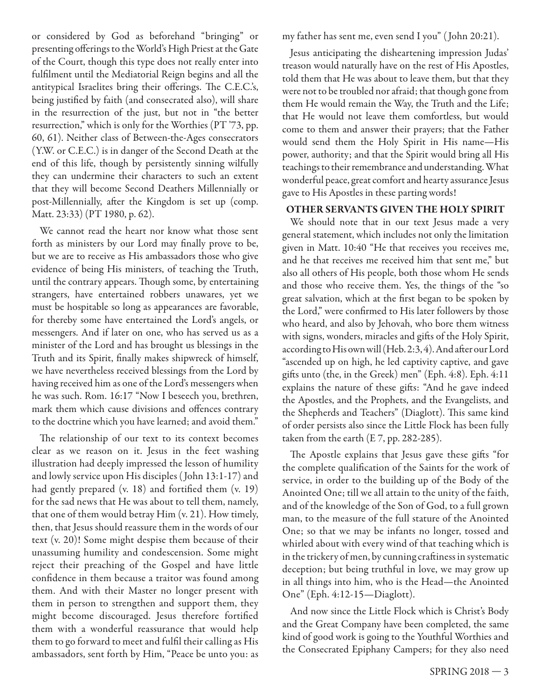or considered by God as beforehand "bringing" or presenting offerings to the World's High Priest at the Gate of the Court, though this type does not really enter into fulfilment until the Mediatorial Reign begins and all the antitypical Israelites bring their offerings. The C.E.C.'s, being justified by faith (and consecrated also), will share in the resurrection of the just, but not in "the better resurrection," which is only for the Worthies (PT '73, pp. 60, 61). Neither class of Between-the-Ages consecrators (Y.W. or C.E.C.) is in danger of the Second Death at the end of this life, though by persistently sinning wilfully they can undermine their characters to such an extent that they will become Second Deathers Millennially or post-Millennially, after the Kingdom is set up (comp. Matt. 23:33) (PT 1980, p. 62).

We cannot read the heart nor know what those sent forth as ministers by our Lord may finally prove to be, but we are to receive as His ambassadors those who give evidence of being His ministers, of teaching the Truth, until the contrary appears. Though some, by entertaining strangers, have entertained robbers unawares, yet we must be hospitable so long as appearances are favorable, for thereby some have entertained the Lord's angels, or messengers. And if later on one, who has served us as a minister of the Lord and has brought us blessings in the Truth and its Spirit, finally makes shipwreck of himself, we have nevertheless received blessings from the Lord by having received him as one of the Lord's messengers when he was such. Rom. 16:17 "Now I beseech you, brethren, mark them which cause divisions and offences contrary to the doctrine which you have learned; and avoid them."

The relationship of our text to its context becomes clear as we reason on it. Jesus in the feet washing illustration had deeply impressed the lesson of humility and lowly service upon His disciples ( John 13:1-17) and had gently prepared  $(v. 18)$  and fortified them  $(v. 19)$ for the sad news that He was about to tell them, namely, that one of them would betray Him (v. 21). How timely, then, that Jesus should reassure them in the words of our text (v. 20)! Some might despise them because of their unassuming humility and condescension. Some might reject their preaching of the Gospel and have little confidence in them because a traitor was found among them. And with their Master no longer present with them in person to strengthen and support them, they might become discouraged. Jesus therefore fortified them with a wonderful reassurance that would help them to go forward to meet and fulfil their calling as His ambassadors, sent forth by Him, "Peace be unto you: as

my father has sent me, even send I you" ( John 20:21).

Jesus anticipating the disheartening impression Judas' treason would naturally have on the rest of His Apostles, told them that He was about to leave them, but that they were not to be troubled nor afraid; that though gone from them He would remain the Way, the Truth and the Life; that He would not leave them comfortless, but would come to them and answer their prayers; that the Father would send them the Holy Spirit in His name—His power, authority; and that the Spirit would bring all His teachings to their remembrance and understanding. What wonderful peace, great comfort and hearty assurance Jesus gave to His Apostles in these parting words!

## **OTHER SERVANTS GIVEN THE HOLY SPIRIT**

We should note that in our text Jesus made a very general statement, which includes not only the limitation given in Matt. 10:40 "He that receives you receives me, and he that receives me received him that sent me," but also all others of His people, both those whom He sends and those who receive them. Yes, the things of the "so great salvation, which at the first began to be spoken by the Lord," were confirmed to His later followers by those who heard, and also by Jehovah, who bore them witness with signs, wonders, miracles and gifts of the Holy Spirit, according to His own will (Heb. 2:3, 4). And after our Lord "ascended up on high, he led captivity captive, and gave gifts unto (the, in the Greek) men" (Eph. 4:8). Eph. 4:11 explains the nature of these gifts: "And he gave indeed the Apostles, and the Prophets, and the Evangelists, and the Shepherds and Teachers" (Diaglott). This same kind of order persists also since the Little Flock has been fully taken from the earth (E 7, pp. 282-285).

The Apostle explains that Jesus gave these gifts "for the complete qualification of the Saints for the work of service, in order to the building up of the Body of the Anointed One; till we all attain to the unity of the faith, and of the knowledge of the Son of God, to a full grown man, to the measure of the full stature of the Anointed One; so that we may be infants no longer, tossed and whirled about with every wind of that teaching which is in the trickery of men, by cunning craftiness in systematic deception; but being truthful in love, we may grow up in all things into him, who is the Head—the Anointed One" (Eph. 4:12-15—Diaglott).

And now since the Little Flock which is Christ's Body and the Great Company have been completed, the same kind of good work is going to the Youthful Worthies and the Consecrated Epiphany Campers; for they also need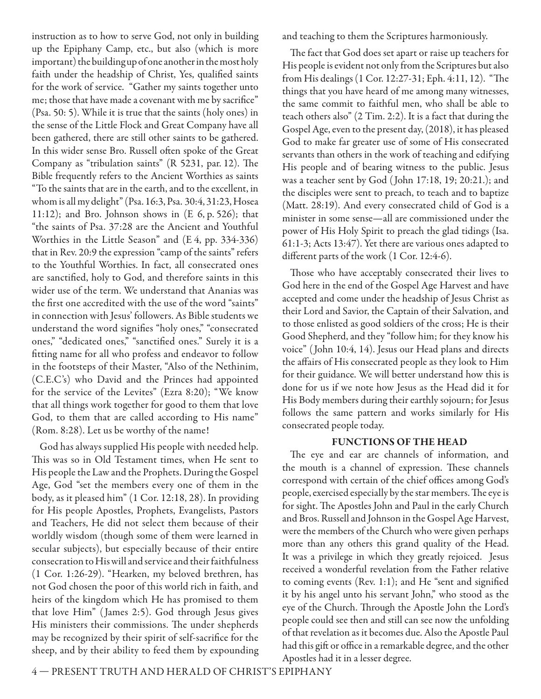instruction as to how to serve God, not only in building up the Epiphany Camp, etc., but also (which is more important) the building up of one another in the most holy faith under the headship of Christ, Yes, qualified saints for the work of service. "Gather my saints together unto me; those that have made a covenant with me by sacrifice" (Psa. 50: 5). While it is true that the saints (holy ones) in the sense of the Little Flock and Great Company have all been gathered, there are still other saints to be gathered. In this wider sense Bro. Russell often spoke of the Great Company as "tribulation saints"  $(R 5231, par. 12)$ . The Bible frequently refers to the Ancient Worthies as saints "To the saints that are in the earth, and to the excellent, in whom is all my delight" (Psa. 16:3, Psa. 30:4, 31:23, Hosea 11:12); and Bro. Johnson shows in (E 6, p. 526); that "the saints of Psa. 37:28 are the Ancient and Youthful Worthies in the Little Season" and (E 4, pp. 334-336) that in Rev. 20:9 the expression "camp of the saints" refers to the Youthful Worthies. In fact, all consecrated ones are sanctified, holy to God, and therefore saints in this wider use of the term. We understand that Ananias was the first one accredited with the use of the word "saints" in connection with Jesus' followers. As Bible students we understand the word signifies "holy ones," "consecrated ones," "dedicated ones," "sanctified ones." Surely it is a fitting name for all who profess and endeavor to follow in the footsteps of their Master, "Also of the Nethinim, (C.E.C's) who David and the Princes had appointed for the service of the Levites" (Ezra 8:20); "We know that all things work together for good to them that love God, to them that are called according to His name" (Rom. 8:28). Let us be worthy of the name!

God has always supplied His people with needed help. This was so in Old Testament times, when He sent to His people the Law and the Prophets. During the Gospel Age, God "set the members every one of them in the body, as it pleased him" (1 Cor. 12:18, 28). In providing for His people Apostles, Prophets, Evangelists, Pastors and Teachers, He did not select them because of their worldly wisdom (though some of them were learned in secular subjects), but especially because of their entire consecration to His will and service and their faithfulness (1 Cor. 1:26-29). "Hearken, my beloved brethren, has not God chosen the poor of this world rich in faith, and heirs of the kingdom which He has promised to them that love Him" ( James 2:5). God through Jesus gives His ministers their commissions. The under shepherds may be recognized by their spirit of self-sacrifice for the sheep, and by their ability to feed them by expounding and teaching to them the Scriptures harmoniously.

The fact that God does set apart or raise up teachers for His people is evident not only from the Scriptures but also from His dealings (1 Cor. 12:27-31; Eph. 4:11, 12). "The things that you have heard of me among many witnesses, the same commit to faithful men, who shall be able to teach others also" (2 Tim. 2:2). It is a fact that during the Gospel Age, even to the present day, (2018), it has pleased God to make far greater use of some of His consecrated servants than others in the work of teaching and edifying His people and of bearing witness to the public. Jesus was a teacher sent by God ( John 17:18, 19; 20:21.); and the disciples were sent to preach, to teach and to baptize (Matt. 28:19). And every consecrated child of God is a minister in some sense—all are commissioned under the power of His Holy Spirit to preach the glad tidings (Isa. 61:1-3; Acts 13:47). Yet there are various ones adapted to different parts of the work (1 Cor. 12:4-6).

Those who have acceptably consecrated their lives to God here in the end of the Gospel Age Harvest and have accepted and come under the headship of Jesus Christ as their Lord and Savior, the Captain of their Salvation, and to those enlisted as good soldiers of the cross; He is their Good Shepherd, and they "follow him; for they know his voice" ( John 10:4, 14). Jesus our Head plans and directs the affairs of His consecrated people as they look to Him for their guidance. We will better understand how this is done for us if we note how Jesus as the Head did it for His Body members during their earthly sojourn; for Jesus follows the same pattern and works similarly for His consecrated people today.

## **FUNCTIONS OF THE HEAD**

The eye and ear are channels of information, and the mouth is a channel of expression. These channels correspond with certain of the chief offices among God's people, exercised especially by the star members. The eye is for sight. The Apostles John and Paul in the early Church and Bros. Russell and Johnson in the Gospel Age Harvest, were the members of the Church who were given perhaps more than any others this grand quality of the Head. It was a privilege in which they greatly rejoiced. Jesus received a wonderful revelation from the Father relative to coming events (Rev. 1:1); and He "sent and signified it by his angel unto his servant John," who stood as the eye of the Church. Through the Apostle John the Lord's people could see then and still can see now the unfolding of that revelation as it becomes due. Also the Apostle Paul had this gift or office in a remarkable degree, and the other Apostles had it in a lesser degree.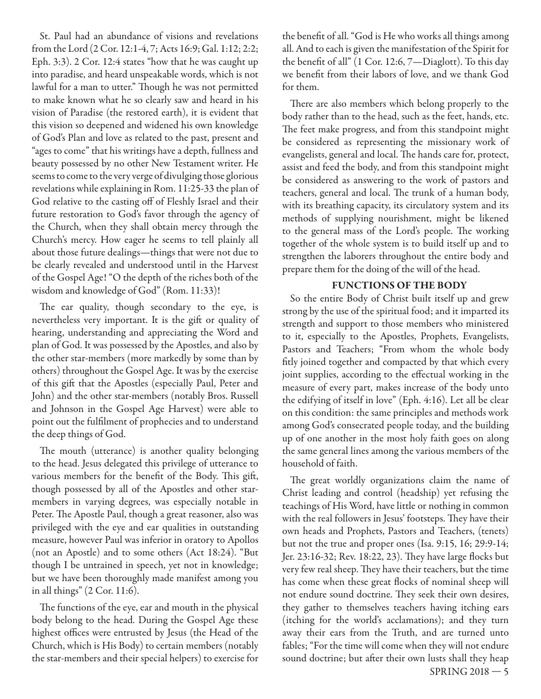St. Paul had an abundance of visions and revelations from the Lord (2 Cor. 12:1-4, 7; Acts 16:9; Gal. 1:12; 2:2; Eph. 3:3). 2 Cor. 12:4 states "how that he was caught up into paradise, and heard unspeakable words, which is not lawful for a man to utter." Though he was not permitted to make known what he so clearly saw and heard in his vision of Paradise (the restored earth), it is evident that this vision so deepened and widened his own knowledge of God's Plan and love as related to the past, present and "ages to come" that his writings have a depth, fullness and beauty possessed by no other New Testament writer. He seems to come to the very verge of divulging those glorious revelations while explaining in Rom. 11:25-33 the plan of God relative to the casting off of Fleshly Israel and their future restoration to God's favor through the agency of the Church, when they shall obtain mercy through the Church's mercy. How eager he seems to tell plainly all about those future dealings—things that were not due to be clearly revealed and understood until in the Harvest of the Gospel Age! "O the depth of the riches both of the wisdom and knowledge of God" (Rom. 11:33)!

The ear quality, though secondary to the eye, is nevertheless very important. It is the gift or quality of hearing, understanding and appreciating the Word and plan of God. It was possessed by the Apostles, and also by the other star-members (more markedly by some than by others) throughout the Gospel Age. It was by the exercise of this gift that the Apostles (especially Paul, Peter and John) and the other star-members (notably Bros. Russell and Johnson in the Gospel Age Harvest) were able to point out the fulfilment of prophecies and to understand the deep things of God.

The mouth (utterance) is another quality belonging to the head. Jesus delegated this privilege of utterance to various members for the benefit of the Body. This gift, though possessed by all of the Apostles and other starmembers in varying degrees, was especially notable in Peter. The Apostle Paul, though a great reasoner, also was privileged with the eye and ear qualities in outstanding measure, however Paul was inferior in oratory to Apollos (not an Apostle) and to some others (Act 18:24). "But though I be untrained in speech, yet not in knowledge; but we have been thoroughly made manifest among you in all things" (2 Cor. 11:6).

The functions of the eye, ear and mouth in the physical body belong to the head. During the Gospel Age these highest offices were entrusted by Jesus (the Head of the Church, which is His Body) to certain members (notably the star-members and their special helpers) to exercise for

the benefit of all. "God is He who works all things among all. And to each is given the manifestation of the Spirit for the benefit of all"  $(1$  Cor. 12:6,  $7$ —Diaglott). To this day we benefit from their labors of love, and we thank God for them.

There are also members which belong properly to the body rather than to the head, such as the feet, hands, etc. The feet make progress, and from this standpoint might be considered as representing the missionary work of evangelists, general and local. The hands care for, protect, assist and feed the body, and from this standpoint might be considered as answering to the work of pastors and teachers, general and local. The trunk of a human body, with its breathing capacity, its circulatory system and its methods of supplying nourishment, might be likened to the general mass of the Lord's people. The working together of the whole system is to build itself up and to strengthen the laborers throughout the entire body and prepare them for the doing of the will of the head.

## **FUNCTIONS OF THE BODY**

So the entire Body of Christ built itself up and grew strong by the use of the spiritual food; and it imparted its strength and support to those members who ministered to it, especially to the Apostles, Prophets, Evangelists, Pastors and Teachers; "From whom the whole body fitly joined together and compacted by that which every joint supplies, according to the effectual working in the measure of every part, makes increase of the body unto the edifying of itself in love" (Eph. 4:16). Let all be clear on this condition: the same principles and methods work among God's consecrated people today, and the building up of one another in the most holy faith goes on along the same general lines among the various members of the household of faith.

SPRING 2018 — 5 The great worldly organizations claim the name of Christ leading and control (headship) yet refusing the teachings of His Word, have little or nothing in common with the real followers in Jesus' footsteps. They have their own heads and Prophets, Pastors and Teachers, (tenets) but not the true and proper ones (Isa. 9:15, 16; 29:9-14; Jer. 23:16-32; Rev. 18:22, 23). They have large flocks but very few real sheep. They have their teachers, but the time has come when these great flocks of nominal sheep will not endure sound doctrine. They seek their own desires, they gather to themselves teachers having itching ears (itching for the world's acclamations); and they turn away their ears from the Truth, and are turned unto fables; "For the time will come when they will not endure sound doctrine; but after their own lusts shall they heap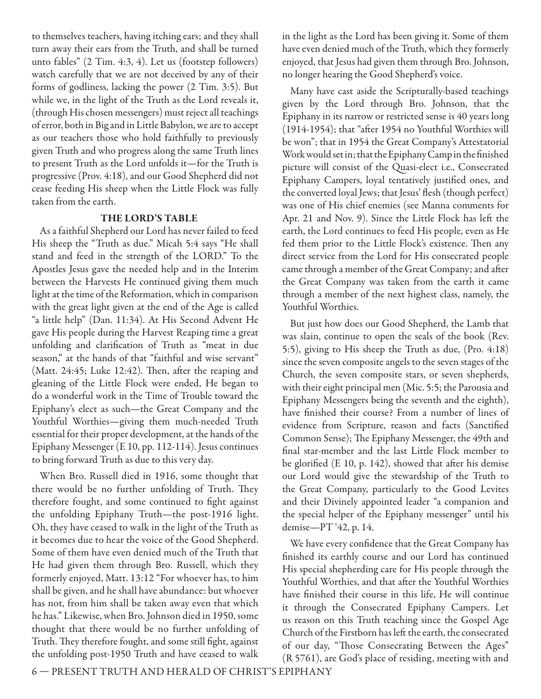to themselves teachers, having itching ears; and they shall turn away their ears from the Truth, and shall be turned unto fables" (2 Tim. 4:3, 4). Let us (footstep followers) watch carefully that we are not deceived by any of their forms of godliness, lacking the power (2 Tim. 3:5). But while we, in the light of the Truth as the Lord reveals it, (through His chosen messengers) must reject all teachings of error, both in Big and in Little Babylon, we are to accept as our teachers those who hold faithfully to previously given Truth and who progress along the same Truth lines to present Truth as the Lord unfolds it—for the Truth is progressive (Prov. 4:18), and our Good Shepherd did not cease feeding His sheep when the Little Flock was fully taken from the earth.

## **THE LORD'S TABLE**

As a faithful Shepherd our Lord has never failed to feed His sheep the "Truth as due." Micah 5:4 says "He shall stand and feed in the strength of the LORD." To the Apostles Jesus gave the needed help and in the Interim between the Harvests He continued giving them much light at the time of the Reformation, which in comparison with the great light given at the end of the Age is called "a little help" (Dan. 11:34). At His Second Advent He gave His people during the Harvest Reaping time a great unfolding and clarification of Truth as "meat in due season," at the hands of that "faithful and wise servant" (Matt.  $24:45$ ; Luke  $12:42$ ). Then, after the reaping and gleaning of the Little Flock were ended, He began to do a wonderful work in the Time of Trouble toward the Epiphany's elect as such—the Great Company and the Youthful Worthies—giving them much-needed Truth essential for their proper development, at the hands of the Epiphany Messenger (E 10, pp. 112-114). Jesus continues to bring forward Truth as due to this very day.

When Bro. Russell died in 1916, some thought that there would be no further unfolding of Truth. They therefore fought, and some continued to fight against the unfolding Epiphany Truth—the post-1916 light. Oh, they have ceased to walk in the light of the Truth as it becomes due to hear the voice of the Good Shepherd. Some of them have even denied much of the Truth that He had given them through Bro. Russell, which they formerly enjoyed, Matt. 13:12 "For whoever has, to him shall be given, and he shall have abundance: but whoever has not, from him shall be taken away even that which he has." Likewise, when Bro. Johnson died in 1950, some thought that there would be no further unfolding of Truth. They therefore fought, and some still fight, against the unfolding post-1950 Truth and have ceased to walk in the light as the Lord has been giving it. Some of them have even denied much of the Truth, which they formerly enjoyed, that Jesus had given them through Bro. Johnson, no longer hearing the Good Shepherd's voice.

Many have cast aside the Scripturally-based teachings given by the Lord through Bro. Johnson, that the Epiphany in its narrow or restricted sense is 40 years long  $(1914-1954)$ ; that "after 1954 no Youthful Worthies will be won"; that in 1954 the Great Company's Attestatorial Work would set in; that the Epiphany Camp in the finished picture will consist of the Quasi-elect i.e., Consecrated Epiphany Campers, loyal tentatively justified ones, and the converted loyal Jews; that Jesus' flesh (though perfect) was one of His chief enemies (see Manna comments for Apr. 21 and Nov. 9). Since the Little Flock has left the earth, the Lord continues to feed His people, even as He fed them prior to the Little Flock's existence. Then any direct service from the Lord for His consecrated people came through a member of the Great Company; and after the Great Company was taken from the earth it came through a member of the next highest class, namely, the Youthful Worthies.

But just how does our Good Shepherd, the Lamb that was slain, continue to open the seals of the book (Rev. 5:5), giving to His sheep the Truth as due, (Pro. 4:18) since the seven composite angels to the seven stages of the Church, the seven composite stars, or seven shepherds, with their eight principal men (Mic. 5:5; the Parousia and Epiphany Messengers being the seventh and the eighth), have finished their course? From a number of lines of evidence from Scripture, reason and facts (Sanctified Common Sense); The Epiphany Messenger, the 49th and final star-member and the last Little Flock member to be glorified (E 10, p. 142), showed that after his demise our Lord would give the stewardship of the Truth to the Great Company, particularly to the Good Levites and their Divinely appointed leader "a companion and the special helper of the Epiphany messenger" until his demise—PT '42, p. 14.

We have every confidence that the Great Company has finished its earthly course and our Lord has continued His special shepherding care for His people through the Youthful Worthies, and that after the Youthful Worthies have finished their course in this life. He will continue it through the Consecrated Epiphany Campers. Let us reason on this Truth teaching since the Gospel Age Church of the Firstborn has left the earth, the consecrated of our day, "Those Consecrating Between the Ages" (R 5761), are God's place of residing, meeting with and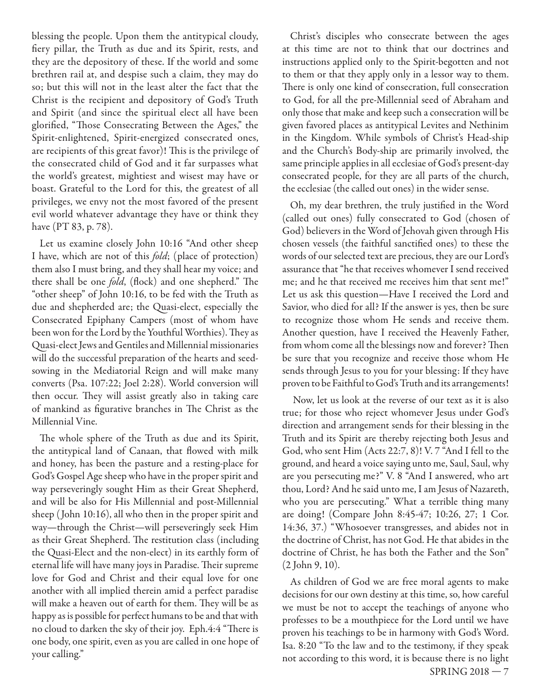blessing the people. Upon them the antitypical cloudy, fiery pillar, the Truth as due and its Spirit, rests, and they are the depository of these. If the world and some brethren rail at, and despise such a claim, they may do so; but this will not in the least alter the fact that the Christ is the recipient and depository of God's Truth and Spirit (and since the spiritual elect all have been glorified, "Those Consecrating Between the Ages," the Spirit-enlightened, Spirit-energized consecrated ones, are recipients of this great favor)! This is the privilege of the consecrated child of God and it far surpasses what the world's greatest, mightiest and wisest may have or boast. Grateful to the Lord for this, the greatest of all privileges, we envy not the most favored of the present evil world whatever advantage they have or think they have (PT 83, p. 78).

Let us examine closely John 10:16 "And other sheep I have, which are not of this *fold*; (place of protection) them also I must bring, and they shall hear my voice; and there shall be one *fold*, (flock) and one shepherd." The "other sheep" of John 10:16, to be fed with the Truth as due and shepherded are; the Quasi-elect, especially the Consecrated Epiphany Campers (most of whom have been won for the Lord by the Youthful Worthies). They as Quasi-elect Jews and Gentiles and Millennial missionaries will do the successful preparation of the hearts and seedsowing in the Mediatorial Reign and will make many converts (Psa. 107:22; Joel 2:28). World conversion will then occur. They will assist greatly also in taking care of mankind as figurative branches in The Christ as the Millennial Vine.

The whole sphere of the Truth as due and its Spirit, the antitypical land of Canaan, that flowed with milk and honey, has been the pasture and a resting-place for God's Gospel Age sheep who have in the proper spirit and way perseveringly sought Him as their Great Shepherd, and will be also for His Millennial and post-Millennial sheep ( John 10:16), all who then in the proper spirit and way—through the Christ—will perseveringly seek Him as their Great Shepherd. The restitution class (including the Quasi-Elect and the non-elect) in its earthly form of eternal life will have many joys in Paradise. Their supreme love for God and Christ and their equal love for one another with all implied therein amid a perfect paradise will make a heaven out of earth for them. They will be as happy as is possible for perfect humans to be and that with no cloud to darken the sky of their joy. Eph.4:4 "There is one body, one spirit, even as you are called in one hope of your calling."

Christ's disciples who consecrate between the ages at this time are not to think that our doctrines and instructions applied only to the Spirit-begotten and not to them or that they apply only in a lessor way to them. There is only one kind of consecration, full consecration to God, for all the pre-Millennial seed of Abraham and only those that make and keep such a consecration will be given favored places as antitypical Levites and Nethinim in the Kingdom. While symbols of Christ's Head-ship and the Church's Body-ship are primarily involved, the same principle applies in all ecclesiae of God's present-day consecrated people, for they are all parts of the church, the ecclesiae (the called out ones) in the wider sense.

Oh, my dear brethren, the truly justified in the Word (called out ones) fully consecrated to God (chosen of God) believers in the Word of Jehovah given through His chosen vessels (the faithful sanctified ones) to these the words of our selected text are precious, they are our Lord's assurance that "he that receives whomever I send received me; and he that received me receives him that sent me!" Let us ask this question—Have I received the Lord and Savior, who died for all? If the answer is yes, then be sure to recognize those whom He sends and receive them. Another question, have I received the Heavenly Father, from whom come all the blessings now and forever? Then be sure that you recognize and receive those whom He sends through Jesus to you for your blessing: If they have proven to be Faithful to God's Truth and its arrangements!

 Now, let us look at the reverse of our text as it is also true; for those who reject whomever Jesus under God's direction and arrangement sends for their blessing in the Truth and its Spirit are thereby rejecting both Jesus and God, who sent Him (Acts 22:7, 8)! V. 7 "And I fell to the ground, and heard a voice saying unto me, Saul, Saul, why are you persecuting me?" V. 8 "And I answered, who art thou, Lord? And he said unto me, I am Jesus of Nazareth, who you are persecuting." What a terrible thing many are doing! (Compare John 8:45-47; 10:26, 27; 1 Cor. 14:36, 37.) "Whosoever transgresses, and abides not in the doctrine of Christ, has not God. He that abides in the doctrine of Christ, he has both the Father and the Son" (2 John 9, 10).

As children of God we are free moral agents to make decisions for our own destiny at this time, so, how careful we must be not to accept the teachings of anyone who professes to be a mouthpiece for the Lord until we have proven his teachings to be in harmony with God's Word. Isa. 8:20 "To the law and to the testimony, if they speak not according to this word, it is because there is no light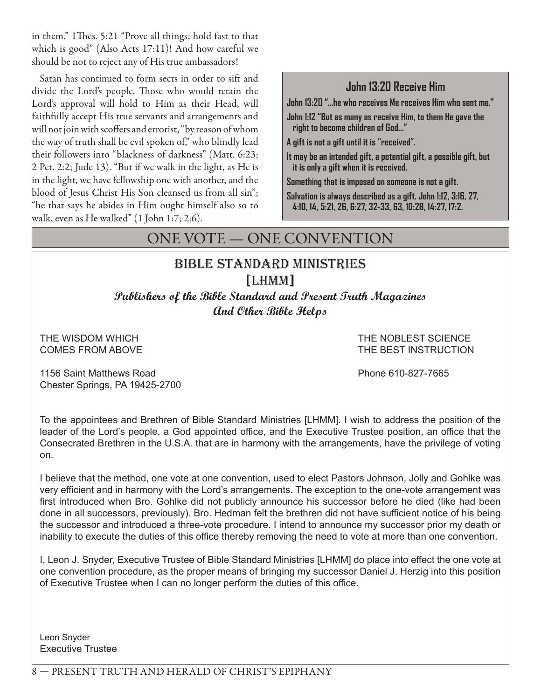in them." 1Thes. 5:21 "Prove all things; hold fast to that which is good" (Also Acts 17:11)! And how careful we should be not to reject any of His true ambassadors!

Satan has continued to form sects in order to sift and divide the Lord's people. Those who would retain the Lord's approval will hold to Him as their Head, will faithfully accept His true servants and arrangements and will not join with scoffers and errorist, "by reason of whom the way of truth shall be evil spoken of," who blindly lead their followers into "blackness of darkness" (Matt. 6:23; 2 Pet. 2:2; Jude 13). "But if we walk in the light, as He is in the light, we have fellowship one with another, and the blood of Jesus Christ His Son cleansed us from all sin"; "he that says he abides in Him ought himself also so to walk, even as He walked" (1 John 1:7; 2:6).

## **John 13:20 Receive Him**

**John 13:20 "...he who receives Me receives Him who sent me."**

**John 1:12 "But as many as receive Him, to them He gave the right to become children of God..."**

**A gift is not a gift until it is "received".**

**It may be an intended gift, a potential gift, a possible gift, but it is only a gift when it is received.**

**Something that is imposed on someone is not a gift.**

**Salvation is always described as a gift. John 1:12, 3:16, 27, 4:10, 14, 5:21, 26, 6:27, 32-33, 63, 10:28, 14:27, 17:2.**

## ONE VOTE — ONE CONVENTION

## bible standard ministries [LHMM]

**Publishers of the Bible Standard and Present Truth Magazines And Other Bible Helps**

THE WISDOM WHICH THE NOBLEST SCIENCE COMES FROM ABOVE THE BEST INSTRUCTION

1156 Saint Matthews Road Phone 610-827-7665 Chester Springs, PA 19425-2700

To the appointees and Brethren of Bible Standard Ministries [LHMM]. I wish to address the position of the leader of the Lord's people, a God appointed office, and the Executive Trustee position, an office that the Consecrated Brethren in the U.S.A. that are in harmony with the arrangements, have the privilege of voting on.

I believe that the method, one vote at one convention, used to elect Pastors Johnson, Jolly and Gohlke was very efficient and in harmony with the Lord's arrangements. The exception to the one-vote arrangement was first introduced when Bro. Gohlke did not publicly announce his successor before he died (like had been done in all successors, previously). Bro. Hedman felt the brethren did not have sufficient notice of his being the successor and introduced a three-vote procedure. I intend to announce my successor prior my death or inability to execute the duties of this office thereby removing the need to vote at more than one convention.

I, Leon J. Snyder, Executive Trustee of Bible Standard Ministries [LHMM] do place into effect the one vote at one convention procedure, as the proper means of bringing my successor Daniel J. Herzig into this position of Executive Trustee when I can no longer perform the duties of this office.

Leon Snyder Executive Trustee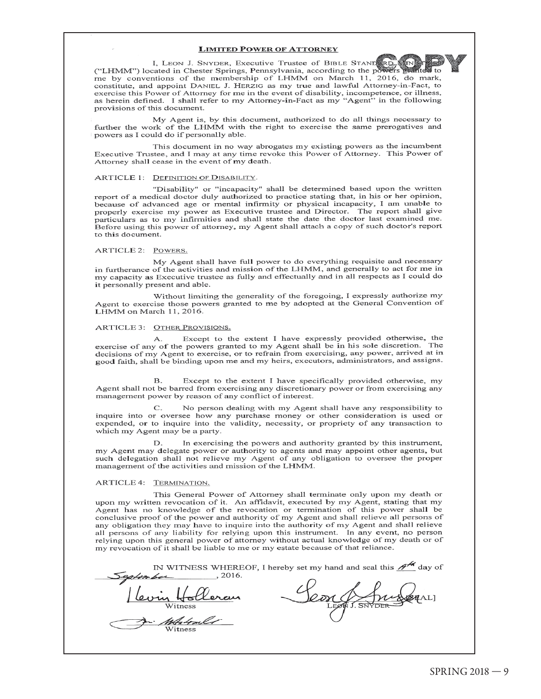#### **LIMITED POWER OF ATTORNEY**

I, LEON J. SNYDER, Executive Trustee of BIBLE STAND RD ("LHMM") located in Chester Springs, Pennsylvania, according to the po-新兴。 me by conventions of the membership of LHMM on March 11, 2016, do mark, constitute, and appoint DANIEL J. HERZIG as my true and lawful Attorney-in-Fact, to exercise this Power of Attorney for me in the event of disability, incompetence, or illness, as herein defined. I shall refer to my Attorney-in-Fact as my "Agent" in the following provisions of this document.

My Agent is, by this document, authorized to do all things necessary to further the work of the LHMM with the right to exercise the same prerogatives and powers as I could do if personally able.

This document in no way abrogates my existing powers as the incumbent Executive Trustee, and I may at any time revoke this Power of Attorney. This Power of Attorney shall cease in the event of my death.

#### ARTICLE 1: DEFINITION OF DISABILITY.

"Disability" or "incapacity" shall be determined based upon the written report of a medical doctor duly authorized to practice stating that, in his or her opinion, because of advanced age or mental infirmity or physical incapacity, I am unable to properly exercise my power as Executive trustee and Director. The report shall give particulars as to my infirmities and shall state the date the doctor last examined me. Before using this power of attorney, my Agent shall attach a copy of such doctor's report to this document.

#### ARTICLE 2: POWERS.

My Agent shall have full power to do everything requisite and necessary in furtherance of the activities and mission of the LHMM, and generally to act for me in my capacity as Executive trustee as fully and effectually and in all respects as I could do it personally present and able.

Without limiting the generality of the foregoing, I expressly authorize my Agent to exercise those powers granted to me by adopted at the General Convention of LHMM on March 11, 2016.

#### ARTICLE 3: OTHER PROVISIONS.

Except to the extent I have expressly provided otherwise, the A. exercise of any of the powers granted to my Agent shall be in his sole discretion. The decisions of my Agent to exercise, or to refrain from exercising, any power, arrived at in good faith, shall be binding upon me and my heirs, executors, administrators, and assigns.

Except to the extent I have specifically provided otherwise, my  $\mathbf{B}$ . Agent shall not be barred from exercising any discretionary power or from exercising any management power by reason of any conflict of interest.

No person dealing with my Agent shall have any responsibility to  $\mathsf{C}$ . inquire into or oversee how any purchase money or other consideration is used or expended, or to inquire into the validity, necessity, or propriety of any transaction to which my Agent may be a party.

In exercising the powers and authority granted by this instrument, D. my Agent may delegate power or authority to agents and may appoint other agents, but such delegation shall not relieve my Agent of any obligation to oversee the proper management of the activities and mission of the LHMM.

#### ARTICLE 4: TERMINATION.

This General Power of Attorney shall terminate only upon my death or upon my written revocation of it. An affidavit, executed by my Agent, stating that my Agent has no knowledge of the revocation or termination of this power shall be conclusive proof of the power and authority of my Agent and shall relieve all persons of any obligation they may have to inquire into the authority of my Agent and shall relieve all persons of any liability for relying upon this instrument. In any event, no person relying upon this general power of attorney without actual knowledge of my death or of my revocation of it shall be liable to me or my estate because of that reliance.

| , 2016. | IN WITNESS WHEREOF, I hereby set my hand and seal this $\mathscr{H}^{\mathscr{M}}$ day of |
|---------|-------------------------------------------------------------------------------------------|
|         |                                                                                           |
| Witness |                                                                                           |
| Witness |                                                                                           |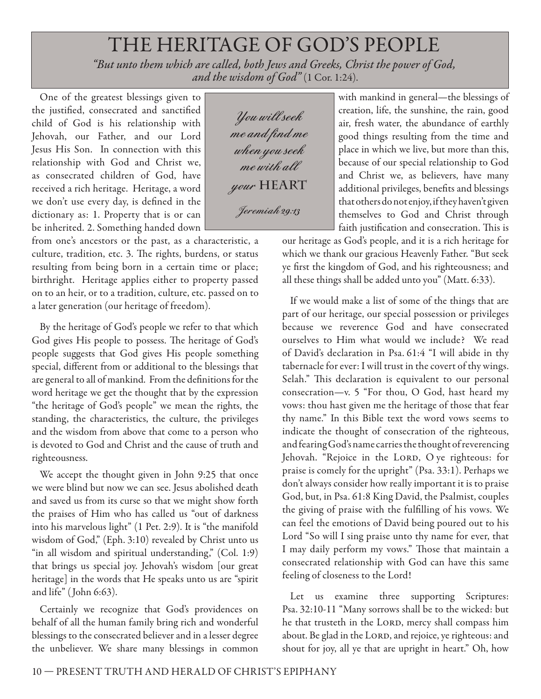# THE HERITAGE OF GOD'S PEOPLE

*"But unto them which are called, both Jews and Greeks, Christ the power of God, and the wisdom of God"* (1 Cor. 1:24).

One of the greatest blessings given to the justified, consecrated and sanctified child of God is his relationship with Jehovah, our Father, and our Lord Jesus His Son. In connection with this relationship with God and Christ we, as consecrated children of God, have received a rich heritage. Heritage, a word we don't use every day, is defined in the dictionary as: 1. Property that is or can be inherited. 2. Something handed down

from one's ancestors or the past, as a characteristic, a culture, tradition, etc. 3. The rights, burdens, or status resulting from being born in a certain time or place; birthright. Heritage applies either to property passed on to an heir, or to a tradition, culture, etc. passed on to a later generation (our heritage of freedom).

By the heritage of God's people we refer to that which God gives His people to possess. The heritage of God's people suggests that God gives His people something special, different from or additional to the blessings that are general to all of mankind. From the definitions for the word heritage we get the thought that by the expression "the heritage of God's people" we mean the rights, the standing, the characteristics, the culture, the privileges and the wisdom from above that come to a person who is devoted to God and Christ and the cause of truth and righteousness.

We accept the thought given in John 9:25 that once we were blind but now we can see. Jesus abolished death and saved us from its curse so that we might show forth the praises of Him who has called us "out of darkness into his marvelous light" (1 Pet. 2:9). It is "the manifold wisdom of God," (Eph. 3:10) revealed by Christ unto us "in all wisdom and spiritual understanding," (Col. 1:9) that brings us special joy. Jehovah's wisdom [our great heritage] in the words that He speaks unto us are "spirit and life" ( John 6:63).

Certainly we recognize that God's providences on behalf of all the human family bring rich and wonderful blessings to the consecrated believer and in a lesser degree the unbeliever. We share many blessings in common

**You will seek me and find me when you seek me with all your HEART Jeremiah 29:13**

with mankind in general—the blessings of creation, life, the sunshine, the rain, good air, fresh water, the abundance of earthly good things resulting from the time and place in which we live, but more than this, because of our special relationship to God and Christ we, as believers, have many additional privileges, benefits and blessings that others do not enjoy, if they haven't given themselves to God and Christ through faith justification and consecration. This is

our heritage as God's people, and it is a rich heritage for which we thank our gracious Heavenly Father. "But seek ye first the kingdom of God, and his righteousness; and all these things shall be added unto you" (Matt. 6:33).

If we would make a list of some of the things that are part of our heritage, our special possession or privileges because we reverence God and have consecrated ourselves to Him what would we include? We read of David's declaration in Psa. 61:4 "I will abide in thy tabernacle for ever: I will trust in the covert of thy wings. Selah." This declaration is equivalent to our personal consecration—v. 5 "For thou, O God, hast heard my vows: thou hast given me the heritage of those that fear thy name." In this Bible text the word vows seems to indicate the thought of consecration of the righteous, and fearing God's name carries the thought of reverencing Jehovah. "Rejoice in the LORD, O ye righteous: for praise is comely for the upright" (Psa. 33:1). Perhaps we don't always consider how really important it is to praise God, but, in Psa. 61:8 King David, the Psalmist, couples the giving of praise with the fulfilling of his vows. We can feel the emotions of David being poured out to his Lord "So will I sing praise unto thy name for ever, that I may daily perform my vows." Those that maintain a consecrated relationship with God can have this same feeling of closeness to the Lord!

Let us examine three supporting Scriptures: Psa. 32:10-11 "Many sorrows shall be to the wicked: but he that trusteth in the LORD, mercy shall compass him about. Be glad in the LORD, and rejoice, ye righteous: and shout for joy, all ye that are upright in heart." Oh, how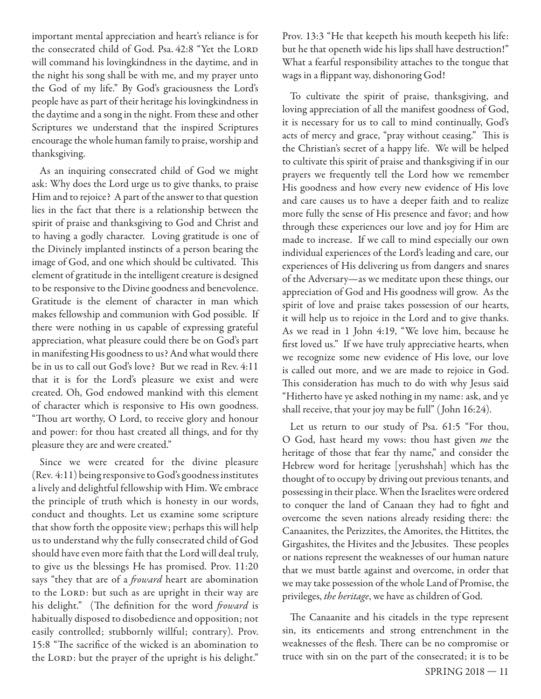important mental appreciation and heart's reliance is for the consecrated child of God. Psa. 42:8 "Yet the LORD will command his lovingkindness in the daytime, and in the night his song shall be with me, and my prayer unto the God of my life." By God's graciousness the Lord's people have as part of their heritage his lovingkindness in the daytime and a song in the night. From these and other Scriptures we understand that the inspired Scriptures encourage the whole human family to praise, worship and thanksgiving.

As an inquiring consecrated child of God we might ask: Why does the Lord urge us to give thanks, to praise Him and to rejoice? A part of the answer to that question lies in the fact that there is a relationship between the spirit of praise and thanksgiving to God and Christ and to having a godly character. Loving gratitude is one of the Divinely implanted instincts of a person bearing the image of God, and one which should be cultivated. This element of gratitude in the intelligent creature is designed to be responsive to the Divine goodness and benevolence. Gratitude is the element of character in man which makes fellowship and communion with God possible. If there were nothing in us capable of expressing grateful appreciation, what pleasure could there be on God's part in manifesting His goodness to us? And what would there be in us to call out God's love? But we read in Rev. 4:11 that it is for the Lord's pleasure we exist and were created. Oh, God endowed mankind with this element of character which is responsive to His own goodness. "Thou art worthy, O Lord, to receive glory and honour and power: for thou hast created all things, and for thy pleasure they are and were created."

Since we were created for the divine pleasure (Rev. 4:11) being responsive to God's goodness institutes a lively and delightful fellowship with Him. We embrace the principle of truth which is honesty in our words, conduct and thoughts. Let us examine some scripture that show forth the opposite view; perhaps this will help us to understand why the fully consecrated child of God should have even more faith that the Lord will deal truly, to give us the blessings He has promised. Prov. 11:20 says "they that are of a *froward* heart are abomination to the LORD: but such as are upright in their way are his delight." (The definition for the word *froward* is habitually disposed to disobedience and opposition; not easily controlled; stubbornly willful; contrary). Prov. 15:8 "The sacrifice of the wicked is an abomination to the LORD: but the prayer of the upright is his delight."

Prov. 13:3 "He that keepeth his mouth keepeth his life: but he that openeth wide his lips shall have destruction!" What a fearful responsibility attaches to the tongue that wags in a flippant way, dishonoring God!

To cultivate the spirit of praise, thanksgiving, and loving appreciation of all the manifest goodness of God, it is necessary for us to call to mind continually, God's acts of mercy and grace, "pray without ceasing." This is the Christian's secret of a happy life. We will be helped to cultivate this spirit of praise and thanksgiving if in our prayers we frequently tell the Lord how we remember His goodness and how every new evidence of His love and care causes us to have a deeper faith and to realize more fully the sense of His presence and favor; and how through these experiences our love and joy for Him are made to increase. If we call to mind especially our own individual experiences of the Lord's leading and care, our experiences of His delivering us from dangers and snares of the Adversary—as we meditate upon these things, our appreciation of God and His goodness will grow. As the spirit of love and praise takes possession of our hearts, it will help us to rejoice in the Lord and to give thanks. As we read in 1 John 4:19, "We love him, because he first loved us." If we have truly appreciative hearts, when we recognize some new evidence of His love, our love is called out more, and we are made to rejoice in God. This consideration has much to do with why Jesus said "Hitherto have ye asked nothing in my name: ask, and ye shall receive, that your joy may be full" ( John 16:24).

Let us return to our study of Psa. 61:5 "For thou, O God, hast heard my vows: thou hast given me the heritage of those that fear thy name," and consider the Hebrew word for heritage [yerushshah] which has the thought of to occupy by driving out previous tenants, and possessing in their place. When the Israelites were ordered to conquer the land of Canaan they had to fight and overcome the seven nations already residing there: the Canaanites, the Perizzites, the Amorites, the Hittites, the Girgashites, the Hivites and the Jebusites. These peoples or nations represent the weaknesses of our human nature that we must battle against and overcome, in order that we may take possession of the whole Land of Promise, the privileges, the heritage, we have as children of God.

The Canaanite and his citadels in the type represent sin, its enticements and strong entrenchment in the weaknesses of the flesh. There can be no compromise or truce with sin on the part of the consecrated; it is to be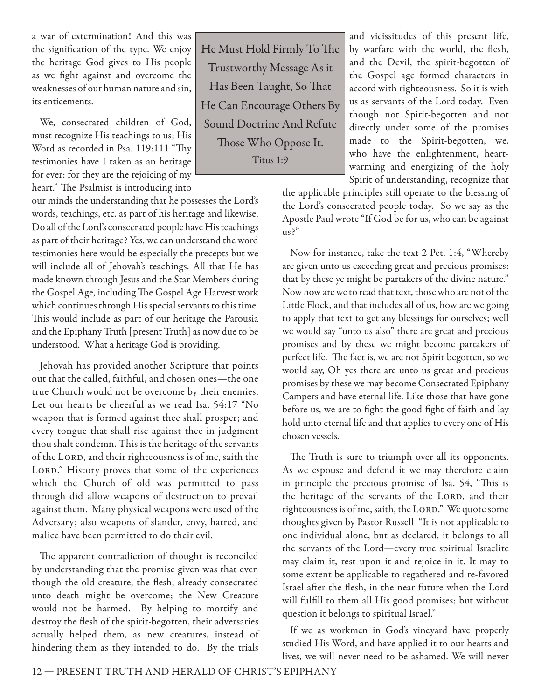a war of extermination! And this was the signification of the type. We enjoy the heritage God gives to His people as we fight against and overcome the weaknesses of our human nature and sin, its enticements.

We, consecrated children of God, must recognize His teachings to us; His Word as recorded in Psa. 119:111 "Thy testimonies have I taken as an heritage for ever: for they are the rejoicing of my heart." The Psalmist is introducing into

our minds the understanding that he possesses the Lord's words, teachings, etc. as part of his heritage and likewise. Do all of the Lord's consecrated people have His teachings as part of their heritage? Yes, we can understand the word testimonies here would be especially the precepts but we will include all of Jehovah's teachings. All that He has made known through Jesus and the Star Members during the Gospel Age, including The Gospel Age Harvest work which continues through His special servants to this time. This would include as part of our heritage the Parousia and the Epiphany Truth [present Truth] as now due to be understood. What a heritage God is providing.

Jehovah has provided another Scripture that points out that the called, faithful, and chosen ones—the one true Church would not be overcome by their enemies. Let our hearts be cheerful as we read Isa. 54:17 "No weapon that is formed against thee shall prosper; and every tongue that shall rise against thee in judgment thou shalt condemn. This is the heritage of the servants of the LORD, and their righteousness is of me, saith the LORD." History proves that some of the experiences which the Church of old was permitted to pass through did allow weapons of destruction to prevail against them. Many physical weapons were used of the Adversary; also weapons of slander, envy, hatred, and malice have been permitted to do their evil.

The apparent contradiction of thought is reconciled by understanding that the promise given was that even though the old creature, the flesh, already consecrated unto death might be overcome; the New Creature would not be harmed. By helping to mortify and destroy the flesh of the spirit-begotten, their adversaries actually helped them, as new creatures, instead of hindering them as they intended to do. By the trials

He Must Hold Firmly To The Trustworthy Message As it Has Been Taught, So That He Can Encourage Others By Sound Doctrine And Refute Those Who Oppose It. Titus 1:9

and vicissitudes of this present life, by warfare with the world, the flesh, and the Devil, the spirit-begotten of the Gospel age formed characters in accord with righteousness. So it is with us as servants of the Lord today. Even though not Spirit-begotten and not directly under some of the promises made to the Spirit-begotten, we, who have the enlightenment, heartwarming and energizing of the holy Spirit of understanding, recognize that

the applicable principles still operate to the blessing of the Lord's consecrated people today. So we say as the Apostle Paul wrote "If God be for us, who can be against us?"

Now for instance, take the text 2 Pet. 1:4, "Whereby are given unto us exceeding great and precious promises: that by these ye might be partakers of the divine nature." Now how are we to read that text, those who are not of the Little Flock, and that includes all of us, how are we going to apply that text to get any blessings for ourselves; well we would say "unto us also" there are great and precious promises and by these we might become partakers of perfect life. The fact is, we are not Spirit begotten, so we would say, Oh yes there are unto us great and precious promises by these we may become Consecrated Epiphany Campers and have eternal life. Like those that have gone before us, we are to fight the good fight of faith and lay hold unto eternal life and that applies to every one of His chosen vessels.

The Truth is sure to triumph over all its opponents. As we espouse and defend it we may therefore claim in principle the precious promise of Isa. 54, "This is the heritage of the servants of the LORD, and their righteousness is of me, saith, the LORD." We quote some thoughts given by Pastor Russell "It is not applicable to one individual alone, but as declared, it belongs to all the servants of the Lord—every true spiritual Israelite may claim it, rest upon it and rejoice in it. It may to some extent be applicable to regathered and re-favored Israel after the flesh, in the near future when the Lord will fulfill to them all His good promises; but without question it belongs to spiritual Israel."

If we as workmen in God's vineyard have properly studied His Word, and have applied it to our hearts and lives, we will never need to be ashamed. We will never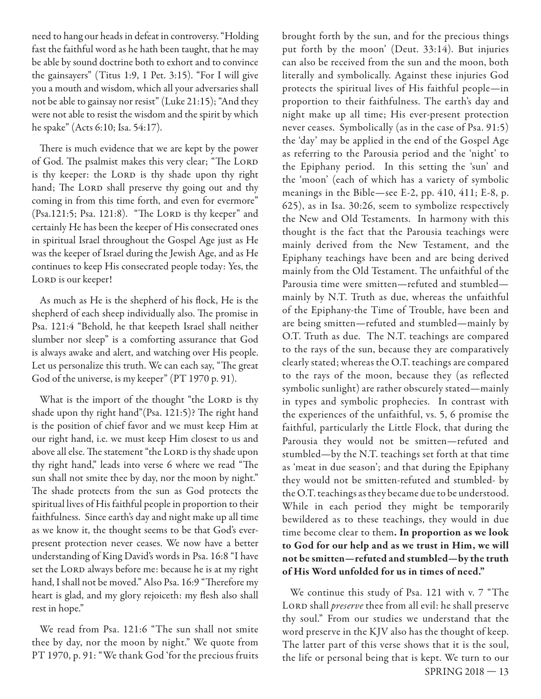need to hang our heads in defeat in controversy. "Holding fast the faithful word as he hath been taught, that he may be able by sound doctrine both to exhort and to convince the gainsayers" (Titus 1:9, 1 Pet. 3:15). "For I will give you a mouth and wisdom, which all your adversaries shall not be able to gainsay nor resist" (Luke 21:15); "And they were not able to resist the wisdom and the spirit by which he spake" (Acts 6:10; Isa. 54:17).

There is much evidence that we are kept by the power of God. The psalmist makes this very clear; "The LORD is thy keeper: the LORD is thy shade upon thy right hand; The LORD shall preserve thy going out and thy coming in from this time forth, and even for evermore" (Psa.121:5; Psa. 121:8). "The LORD is thy keeper" and certainly He has been the keeper of His consecrated ones in spiritual Israel throughout the Gospel Age just as He was the keeper of Israel during the Jewish Age, and as He continues to keep His consecrated people today: Yes, the LORD is our keeper!

As much as He is the shepherd of his flock, He is the shepherd of each sheep individually also. The promise in Psa. 121:4 "Behold, he that keepeth Israel shall neither slumber nor sleep" is a comforting assurance that God is always awake and alert, and watching over His people. Let us personalize this truth. We can each say, "The great God of the universe, is my keeper" (PT 1970 p. 91).

What is the import of the thought "the LORD is thy shade upon thy right hand"(Psa. 121:5)? The right hand is the position of chief favor and we must keep Him at our right hand, i.e. we must keep Him closest to us and above all else. The statement "the LORD is thy shade upon thy right hand," leads into verse 6 where we read "The sun shall not smite thee by day, nor the moon by night." The shade protects from the sun as God protects the spiritual lives of His faithful people in proportion to their faithfulness. Since earth's day and night make up all time as we know it, the thought seems to be that God's everpresent protection never ceases. We now have a better understanding of King David's words in Psa. 16:8 "I have set the LORD always before me: because he is at my right hand, I shall not be moved." Also Psa. 16:9 "Therefore my heart is glad, and my glory rejoiceth: my flesh also shall rest in hope."

We read from Psa. 121:6 "The sun shall not smite thee by day, nor the moon by night." We quote from PT 1970, p. 91: "We thank God 'for the precious fruits brought forth by the sun, and for the precious things put forth by the moon' (Deut. 33:14). But injuries can also be received from the sun and the moon, both literally and symbolically. Against these injuries God protects the spiritual lives of His faithful people—in proportion to their faithfulness. The earth's day and night make up all time; His ever-present protection never ceases. Symbolically (as in the case of Psa. 91:5) the 'day' may be applied in the end of the Gospel Age as referring to the Parousia period and the 'night' to the Epiphany period. In this setting the 'sun' and the 'moon' (each of which has a variety of symbolic meanings in the Bible—see E-2, pp. 410, 411; E-8, p. 625), as in Isa. 30:26, seem to symbolize respectively the New and Old Testaments. In harmony with this thought is the fact that the Parousia teachings were mainly derived from the New Testament, and the Epiphany teachings have been and are being derived mainly from the Old Testament. The unfaithful of the Parousia time were smitten—refuted and stumbled mainly by N.T. Truth as due, whereas the unfaithful of the Epiphany-the Time of Trouble, have been and are being smitten—refuted and stumbled—mainly by O.T. Truth as due. The N.T. teachings are compared to the rays of the sun, because they are comparatively clearly stated; whereas the O.T. teachings are compared to the rays of the moon, because they (as reflected symbolic sunlight) are rather obscurely stated—mainly in types and symbolic prophecies. In contrast with the experiences of the unfaithful, vs. 5, 6 promise the faithful, particularly the Little Flock, that during the Parousia they would not be smitten—refuted and stumbled—by the N.T. teachings set forth at that time as 'meat in due season'; and that during the Epiphany they would not be smitten-refuted and stumbled- by the O.T. teachings as they became due to be understood. While in each period they might be temporarily bewildered as to these teachings, they would in due time become clear to them**. In proportion as we look to God for our help and as we trust in Him, we will not be smitten—refuted and stumbled—by the truth of His Word unfolded for us in times of need."**

SPRING 2018 — 13 We continue this study of Psa. 121 with v. 7 "The LORD shall *preserve* thee from all evil: he shall preserve thy soul." From our studies we understand that the word preserve in the KJV also has the thought of keep. The latter part of this verse shows that it is the soul, the life or personal being that is kept. We turn to our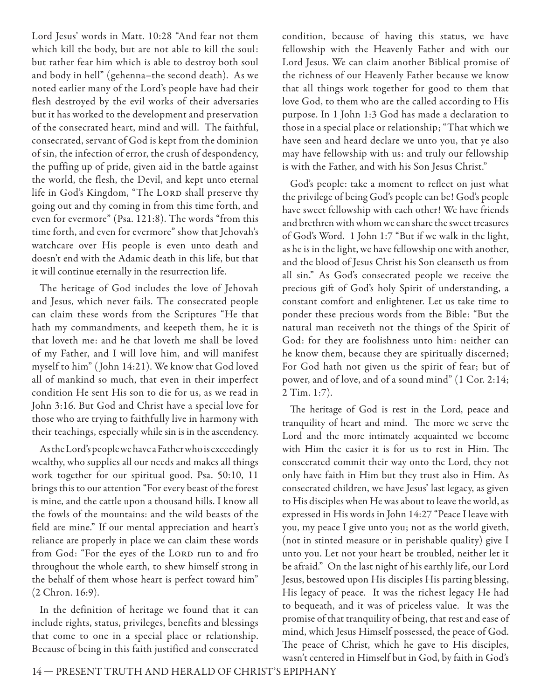Lord Jesus' words in Matt. 10:28 "And fear not them which kill the body, but are not able to kill the soul: but rather fear him which is able to destroy both soul and body in hell" (gehenna–the second death). As we noted earlier many of the Lord's people have had their flesh destroyed by the evil works of their adversaries but it has worked to the development and preservation of the consecrated heart, mind and will. The faithful, consecrated, servant of God is kept from the dominion of sin, the infection of error, the crush of despondency, the puffing up of pride, given aid in the battle against the world, the flesh, the Devil, and kept unto eternal life in God's Kingdom, "The LORD shall preserve thy going out and thy coming in from this time forth, and even for evermore" (Psa. 121:8). The words "from this time forth, and even for evermore" show that Jehovah's watchcare over His people is even unto death and doesn't end with the Adamic death in this life, but that it will continue eternally in the resurrection life.

The heritage of God includes the love of Jehovah and Jesus, which never fails. The consecrated people can claim these words from the Scriptures "He that hath my commandments, and keepeth them, he it is that loveth me: and he that loveth me shall be loved of my Father, and I will love him, and will manifest myself to him" ( John 14:21). We know that God loved all of mankind so much, that even in their imperfect condition He sent His son to die for us, as we read in John 3:16. But God and Christ have a special love for those who are trying to faithfully live in harmony with their teachings, especially while sin is in the ascendency.

As the Lord's people we have a Father who is exceedingly wealthy, who supplies all our needs and makes all things work together for our spiritual good. Psa. 50:10, 11 brings this to our attention "For every beast of the forest is mine, and the cattle upon a thousand hills. I know all the fowls of the mountains: and the wild beasts of the field are mine." If our mental appreciation and heart's reliance are properly in place we can claim these words from God: "For the eyes of the LORD run to and fro throughout the whole earth, to shew himself strong in the behalf of them whose heart is perfect toward him" (2 Chron. 16:9).

In the definition of heritage we found that it can include rights, status, privileges, benefits and blessings that come to one in a special place or relationship. Because of being in this faith justified and consecrated condition, because of having this status, we have fellowship with the Heavenly Father and with our Lord Jesus. We can claim another Biblical promise of the richness of our Heavenly Father because we know that all things work together for good to them that love God, to them who are the called according to His purpose. In 1 John 1:3 God has made a declaration to those in a special place or relationship; "That which we have seen and heard declare we unto you, that ye also may have fellowship with us: and truly our fellowship is with the Father, and with his Son Jesus Christ."

God's people: take a moment to reflect on just what the privilege of being God's people can be! God's people have sweet fellowship with each other! We have friends and brethren with whom we can share the sweet treasures of God's Word. 1 John 1:7 "But if we walk in the light, as he is in the light, we have fellowship one with another, and the blood of Jesus Christ his Son cleanseth us from all sin." As God's consecrated people we receive the precious gift of God's holy Spirit of understanding, a constant comfort and enlightener. Let us take time to ponder these precious words from the Bible: "But the natural man receiveth not the things of the Spirit of God: for they are foolishness unto him: neither can he know them, because they are spiritually discerned; For God hath not given us the spirit of fear; but of power, and of love, and of a sound mind" (1 Cor. 2:14; 2 Tim. 1:7).

The heritage of God is rest in the Lord, peace and tranquility of heart and mind. The more we serve the Lord and the more intimately acquainted we become with Him the easier it is for us to rest in Him. The consecrated commit their way onto the Lord, they not only have faith in Him but they trust also in Him. As consecrated children, we have Jesus' last legacy, as given to His disciples when He was about to leave the world, as expressed in His words in John 14:27 "Peace I leave with you, my peace I give unto you; not as the world giveth, (not in stinted measure or in perishable quality) give I unto you. Let not your heart be troubled, neither let it be afraid." On the last night of his earthly life, our Lord Jesus, bestowed upon His disciples His parting blessing, His legacy of peace. It was the richest legacy He had to bequeath, and it was of priceless value. It was the promise of that tranquility of being, that rest and ease of mind, which Jesus Himself possessed, the peace of God. The peace of Christ, which he gave to His disciples, wasn't centered in Himself but in God, by faith in God's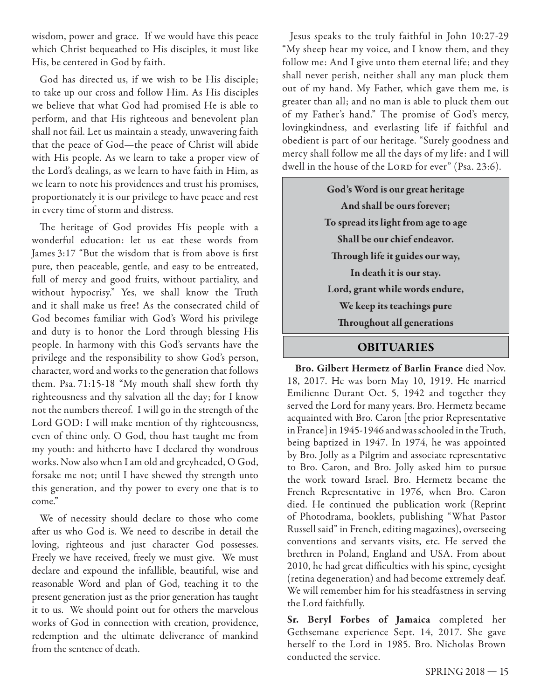wisdom, power and grace. If we would have this peace which Christ bequeathed to His disciples, it must like His, be centered in God by faith.

God has directed us, if we wish to be His disciple; to take up our cross and follow Him. As His disciples we believe that what God had promised He is able to perform, and that His righteous and benevolent plan shall not fail. Let us maintain a steady, unwavering faith that the peace of God—the peace of Christ will abide with His people. As we learn to take a proper view of the Lord's dealings, as we learn to have faith in Him, as we learn to note his providences and trust his promises, proportionately it is our privilege to have peace and rest in every time of storm and distress.

The heritage of God provides His people with a wonderful education: let us eat these words from James 3:17 "But the wisdom that is from above is first pure, then peaceable, gentle, and easy to be entreated, full of mercy and good fruits, without partiality, and without hypocrisy." Yes, we shall know the Truth and it shall make us free! As the consecrated child of God becomes familiar with God's Word his privilege and duty is to honor the Lord through blessing His people. In harmony with this God's servants have the privilege and the responsibility to show God's person, character, word and works to the generation that follows them. Psa. 71:15-18 "My mouth shall shew forth thy righteousness and thy salvation all the day; for I know not the numbers thereof. I will go in the strength of the Lord GOD: I will make mention of thy righteousness, even of thine only. O God, thou hast taught me from my youth: and hitherto have I declared thy wondrous works. Now also when I am old and greyheaded, O God, forsake me not; until I have shewed thy strength unto this generation, and thy power to every one that is to come."

We of necessity should declare to those who come after us who God is. We need to describe in detail the loving, righteous and just character God possesses. Freely we have received, freely we must give. We must declare and expound the infallible, beautiful, wise and reasonable Word and plan of God, teaching it to the present generation just as the prior generation has taught it to us. We should point out for others the marvelous works of God in connection with creation, providence, redemption and the ultimate deliverance of mankind from the sentence of death.

Jesus speaks to the truly faithful in John 10:27-29 "My sheep hear my voice, and I know them, and they follow me: And I give unto them eternal life; and they shall never perish, neither shall any man pluck them out of my hand. My Father, which gave them me, is greater than all; and no man is able to pluck them out of my Father's hand." The promise of God's mercy, lovingkindness, and everlasting life if faithful and obedient is part of our heritage. "Surely goodness and mercy shall follow me all the days of my life: and I will dwell in the house of the LORD for ever" (Psa. 23:6).

> **God's Word is our great heritage And shall be ours forever; To spread its light from age to age Shall be our chief endeavor. Th rough life it guides our way, In death it is our stay. Lord, grant while words endure, We keep its teachings pure Th roughout all generations**

## **OBITUARIES**

**Bro. Gilbert Hermetz of Barlin France** died Nov. 18, 2017. He was born May 10, 1919. He married Emilienne Durant Oct. 5, 1942 and together they served the Lord for many years. Bro. Hermetz became acquainted with Bro. Caron [the prior Representative in France] in 1945-1946 and was schooled in the Truth, being baptized in 1947. In 1974, he was appointed by Bro. Jolly as a Pilgrim and associate representative to Bro. Caron, and Bro. Jolly asked him to pursue the work toward Israel. Bro. Hermetz became the French Representative in 1976, when Bro. Caron died. He continued the publication work (Reprint of Photodrama, booklets, publishing "What Pastor Russell said" in French, editing magazines), overseeing conventions and servants visits, etc. He served the brethren in Poland, England and USA. From about 2010, he had great difficulties with his spine, eyesight (retina degeneration) and had become extremely deaf. We will remember him for his steadfastness in serving the Lord faithfully.

**Sr. Beryl Forbes of Jamaica** completed her Gethsemane experience Sept. 14, 2017. She gave herself to the Lord in 1985. Bro. Nicholas Brown conducted the service.